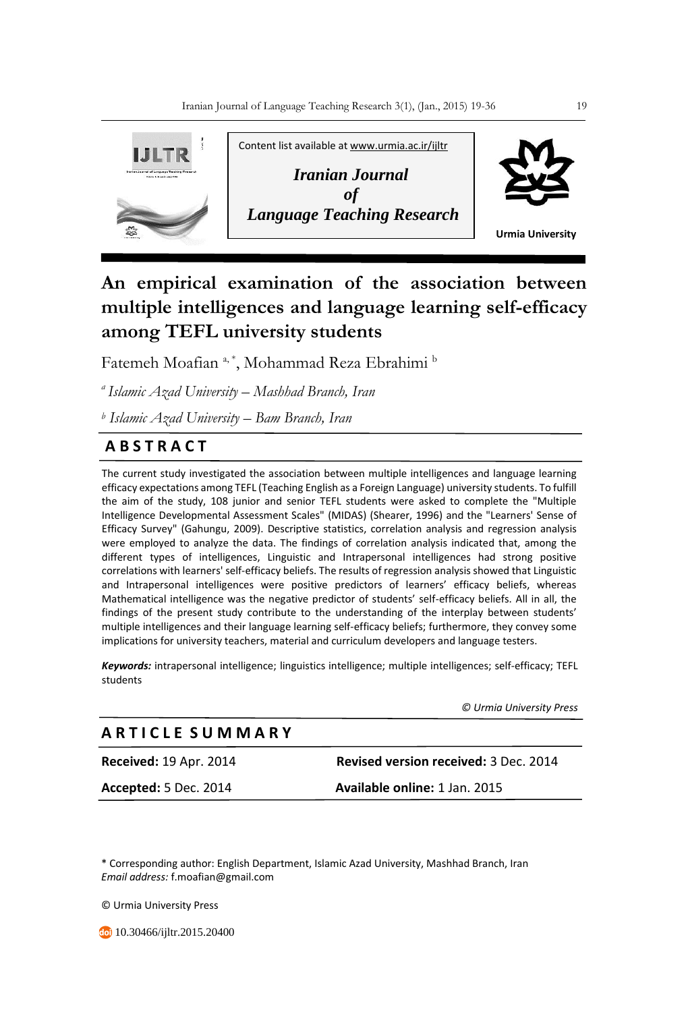

# **An empirical examination of the association between multiple intelligences and language learning self-efficacy among TEFL university students**

Fatemeh Moafian<sup>a,\*</sup>, Mohammad Reza Ebrahimi b

*<sup>a</sup>Islamic Azad University – Mashhad Branch, Iran*

*<sup>b</sup> Islamic Azad University – Bam Branch, Iran*

# **A B S T R A C T**

The current study investigated the association between multiple intelligences and language learning efficacy expectations among TEFL (Teaching English as a Foreign Language) university students. To fulfill the aim of the study, 108 junior and senior TEFL students were asked to complete the "Multiple Intelligence Developmental Assessment Scales" (MIDAS) (Shearer, 1996) and the "Learners' Sense of Efficacy Survey" (Gahungu, 2009). Descriptive statistics, correlation analysis and regression analysis were employed to analyze the data. The findings of correlation analysis indicated that, among the different types of intelligences, Linguistic and Intrapersonal intelligences had strong positive correlations with learners' self-efficacy beliefs. The results of regression analysis showed that Linguistic and Intrapersonal intelligences were positive predictors of learners' efficacy beliefs, whereas Mathematical intelligence was the negative predictor of students' self-efficacy beliefs. All in all, the findings of the present study contribute to the understanding of the interplay between students' multiple intelligences and their language learning self-efficacy beliefs; furthermore, they convey some implications for university teachers, material and curriculum developers and language testers.

*Keywords:* intrapersonal intelligence; linguistics intelligence; multiple intelligences; self-efficacy; TEFL students

 *© Urmia University Press*

# **A R T I C L E S U M M A R Y**

**Accepted:** 5 Dec. 2014 **Available online:** 1 Jan. 2015

**Received:** 19 Apr. 2014 **Revised version received:** 3 Dec. 2014

\* Corresponding author: English Department, Islamic Azad University, Mashhad Branch, Iran *Email address:* f.moafian@gmail.com

© Urmia University Press

**10.30466/ijltr.2015.20400**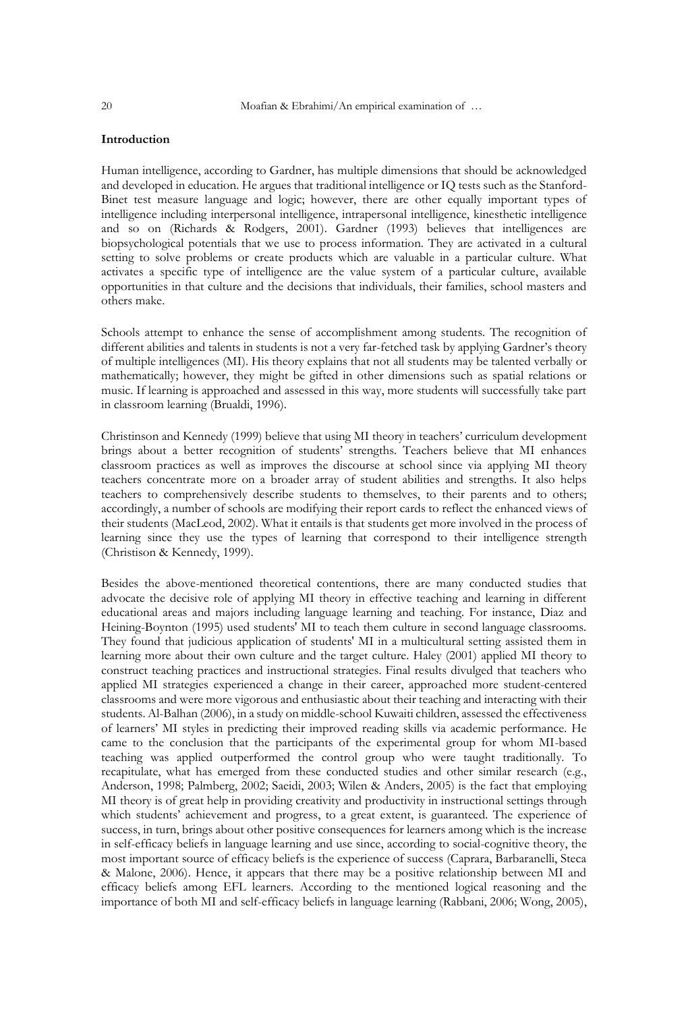# **Introduction**

Human intelligence, according to Gardner, has multiple dimensions that should be acknowledged and developed in education. He argues that traditional intelligence or IQ tests such as the Stanford-Binet test measure language and logic; however, there are other equally important types of intelligence including interpersonal intelligence, intrapersonal intelligence, kinesthetic intelligence and so on (Richards & Rodgers, 2001). Gardner (1993) believes that intelligences are biopsychological potentials that we use to process information. They are activated in a cultural setting to solve problems or create products which are valuable in a particular culture. What activates a specific type of intelligence are the value system of a particular culture, available opportunities in that culture and the decisions that individuals, their families, school masters and others make.

Schools attempt to enhance the sense of accomplishment among students. The recognition of different abilities and talents in students is not a very far-fetched task by applying Gardner's theory of multiple intelligences (MI). His theory explains that not all students may be talented verbally or mathematically; however, they might be gifted in other dimensions such as spatial relations or music. If learning is approached and assessed in this way, more students will successfully take part in classroom learning (Brualdi, 1996).

Christinson and Kennedy (1999) believe that using MI theory in teachers' curriculum development brings about a better recognition of students' strengths. Teachers believe that MI enhances classroom practices as well as improves the discourse at school since via applying MI theory teachers concentrate more on a broader array of student abilities and strengths. It also helps teachers to comprehensively describe students to themselves, to their parents and to others; accordingly, a number of schools are modifying their report cards to reflect the enhanced views of their students (MacLeod, 2002). What it entails is that students get more involved in the process of learning since they use the types of learning that correspond to their intelligence strength (Christison & Kennedy, 1999).

Besides the above-mentioned theoretical contentions, there are many conducted studies that advocate the decisive role of applying MI theory in effective teaching and learning in different educational areas and majors including language learning and teaching. For instance, Diaz and Heining-Boynton (1995) used students' MI to teach them culture in second language classrooms. They found that judicious application of students' MI in a multicultural setting assisted them in learning more about their own culture and the target culture. Haley (2001) applied MI theory to construct teaching practices and instructional strategies. Final results divulged that teachers who applied MI strategies experienced a change in their career, approached more student-centered classrooms and were more vigorous and enthusiastic about their teaching and interacting with their students. Al-Balhan (2006), in a study on middle-school Kuwaiti children, assessed the effectiveness of learners' MI styles in predicting their improved reading skills via academic performance. He came to the conclusion that the participants of the experimental group for whom MI-based teaching was applied outperformed the control group who were taught traditionally. To recapitulate, what has emerged from these conducted studies and other similar research (e.g., Anderson, 1998; Palmberg, 2002; Saeidi, 2003; Wilen & Anders, 2005) is the fact that employing MI theory is of great help in providing creativity and productivity in instructional settings through which students' achievement and progress, to a great extent, is guaranteed. The experience of success, in turn, brings about other positive consequences for learners among which is the increase in self-efficacy beliefs in language learning and use since, according to social-cognitive theory, the most important source of efficacy beliefs is the experience of success (Caprara, Barbaranelli, Steca & Malone, 2006). Hence, it appears that there may be a positive relationship between MI and efficacy beliefs among EFL learners. According to the mentioned logical reasoning and the importance of both MI and self-efficacy beliefs in language learning (Rabbani, 2006; Wong, 2005),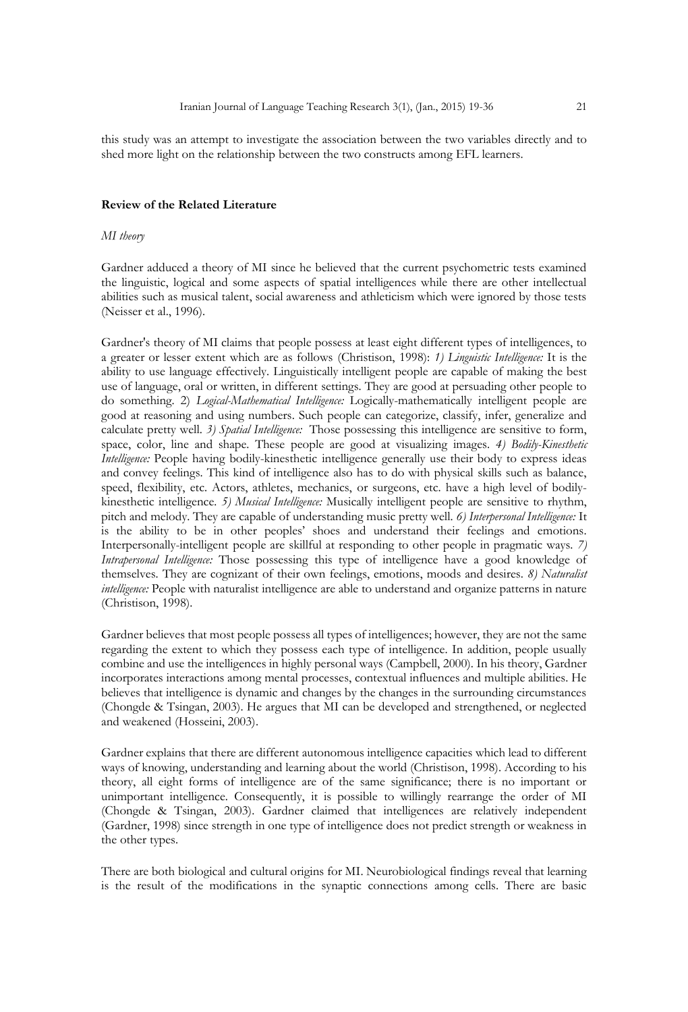this study was an attempt to investigate the association between the two variables directly and to shed more light on the relationship between the two constructs among EFL learners.

## **Review of the Related Literature**

# *MI theory*

Gardner adduced a theory of MI since he believed that the current psychometric tests examined the linguistic, logical and some aspects of spatial intelligences while there are other intellectual abilities such as musical talent, social awareness and athleticism which were ignored by those tests (Neisser et al., 1996).

Gardner's theory of MI claims that people possess at least eight different types of intelligences, to a greater or lesser extent which are as follows (Christison, 1998): *1) Linguistic Intelligence:* It is the ability to use language effectively. Linguistically intelligent people are capable of making the best use of language, oral or written, in different settings. They are good at persuading other people to do something. 2) *Logical-Mathematical Intelligence:* Logically-mathematically intelligent people are good at reasoning and using numbers. Such people can categorize, classify, infer, generalize and calculate pretty well. *3) Spatial Intelligence:* Those possessing this intelligence are sensitive to form, space, color, line and shape. These people are good at visualizing images. *4) Bodily-Kinesthetic Intelligence:* People having bodily-kinesthetic intelligence generally use their body to express ideas and convey feelings. This kind of intelligence also has to do with physical skills such as balance, speed, flexibility, etc. Actors, athletes, mechanics, or surgeons, etc. have a high level of bodilykinesthetic intelligence*. 5) Musical Intelligence:* Musically intelligent people are sensitive to rhythm, pitch and melody. They are capable of understanding music pretty well. *6) Interpersonal Intelligence:* It is the ability to be in other peoples' shoes and understand their feelings and emotions. Interpersonally-intelligent people are skillful at responding to other people in pragmatic ways. *7) Intrapersonal Intelligence:* Those possessing this type of intelligence have a good knowledge of themselves. They are cognizant of their own feelings, emotions, moods and desires. *8) Naturalist intelligence:* People with naturalist intelligence are able to understand and organize patterns in nature (Christison, 1998).

Gardner believes that most people possess all types of intelligences; however, they are not the same regarding the extent to which they possess each type of intelligence. In addition, people usually combine and use the intelligences in highly personal ways (Campbell, 2000). In his theory, Gardner incorporates interactions among mental processes, contextual influences and multiple abilities. He believes that intelligence is dynamic and changes by the changes in the surrounding circumstances (Chongde & Tsingan, 2003). He argues that MI can be developed and strengthened, or neglected and weakened (Hosseini, 2003).

Gardner explains that there are different autonomous intelligence capacities which lead to different ways of knowing, understanding and learning about the world (Christison, 1998). According to his theory, all eight forms of intelligence are of the same significance; there is no important or unimportant intelligence. Consequently, it is possible to willingly rearrange the order of MI (Chongde & Tsingan, 2003). Gardner claimed that intelligences are relatively independent (Gardner, 1998) since strength in one type of intelligence does not predict strength or weakness in the other types.

There are both biological and cultural origins for MI. Neurobiological findings reveal that learning is the result of the modifications in the synaptic connections among cells. There are basic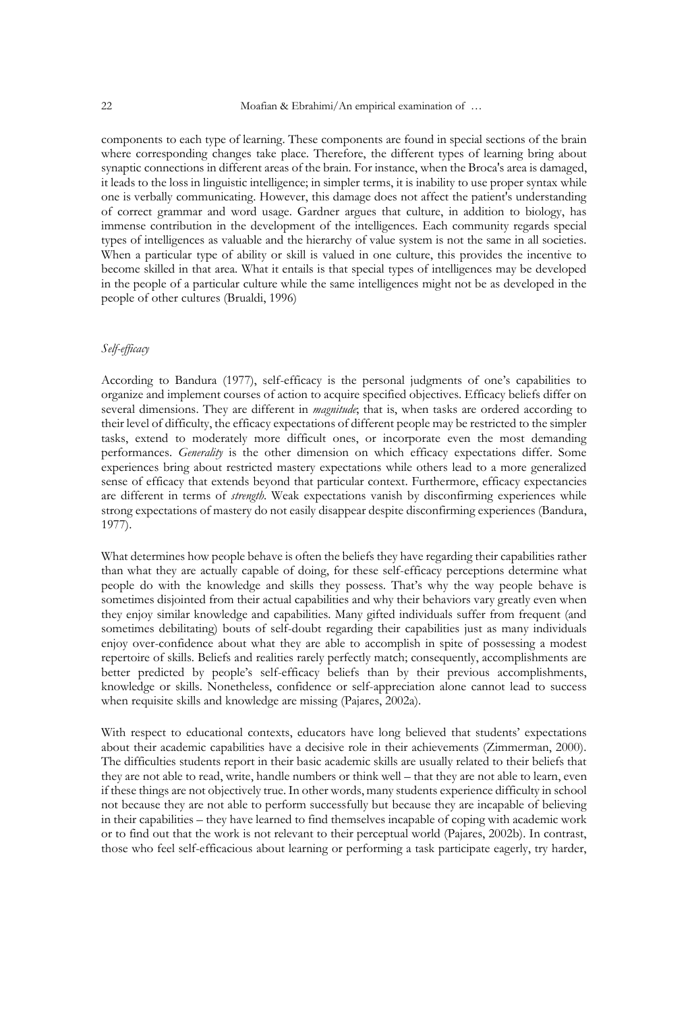components to each type of learning. These components are found in special sections of the brain where corresponding changes take place. Therefore, the different types of learning bring about synaptic connections in different areas of the brain. For instance, when the Broca's area is damaged, it leads to the loss in linguistic intelligence; in simpler terms, it is inability to use proper syntax while one is verbally communicating. However, this damage does not affect the patient's understanding of correct grammar and word usage. Gardner argues that culture, in addition to biology, has immense contribution in the development of the intelligences. Each community regards special types of intelligences as valuable and the hierarchy of value system is not the same in all societies. When a particular type of ability or skill is valued in one culture, this provides the incentive to become skilled in that area. What it entails is that special types of intelligences may be developed in the people of a particular culture while the same intelligences might not be as developed in the people of other cultures (Brualdi, 1996)

# *Self-efficacy*

According to Bandura (1977), self-efficacy is the personal judgments of one's capabilities to organize and implement courses of action to acquire specified objectives. Efficacy beliefs differ on several dimensions. They are different in *magnitude*; that is, when tasks are ordered according to their level of difficulty, the efficacy expectations of different people may be restricted to the simpler tasks, extend to moderately more difficult ones, or incorporate even the most demanding performances. *Generality* is the other dimension on which efficacy expectations differ. Some experiences bring about restricted mastery expectations while others lead to a more generalized sense of efficacy that extends beyond that particular context. Furthermore, efficacy expectancies are different in terms of *strength*. Weak expectations vanish by disconfirming experiences while strong expectations of mastery do not easily disappear despite disconfirming experiences (Bandura, 1977).

What determines how people behave is often the beliefs they have regarding their capabilities rather than what they are actually capable of doing, for these self-efficacy perceptions determine what people do with the knowledge and skills they possess. That's why the way people behave is sometimes disjointed from their actual capabilities and why their behaviors vary greatly even when they enjoy similar knowledge and capabilities. Many gifted individuals suffer from frequent (and sometimes debilitating) bouts of self-doubt regarding their capabilities just as many individuals enjoy over-confidence about what they are able to accomplish in spite of possessing a modest repertoire of skills. Beliefs and realities rarely perfectly match; consequently, accomplishments are better predicted by people's self-efficacy beliefs than by their previous accomplishments, knowledge or skills. Nonetheless, confidence or self-appreciation alone cannot lead to success when requisite skills and knowledge are missing (Pajares, 2002a).

With respect to educational contexts, educators have long believed that students' expectations about their academic capabilities have a decisive role in their achievements (Zimmerman, 2000). The difficulties students report in their basic academic skills are usually related to their beliefs that they are not able to read, write, handle numbers or think well – that they are not able to learn, even if these things are not objectively true. In other words, many students experience difficulty in school not because they are not able to perform successfully but because they are incapable of believing in their capabilities – they have learned to find themselves incapable of coping with academic work or to find out that the work is not relevant to their perceptual world (Pajares, 2002b). In contrast, those who feel self-efficacious about learning or performing a task participate eagerly, try harder,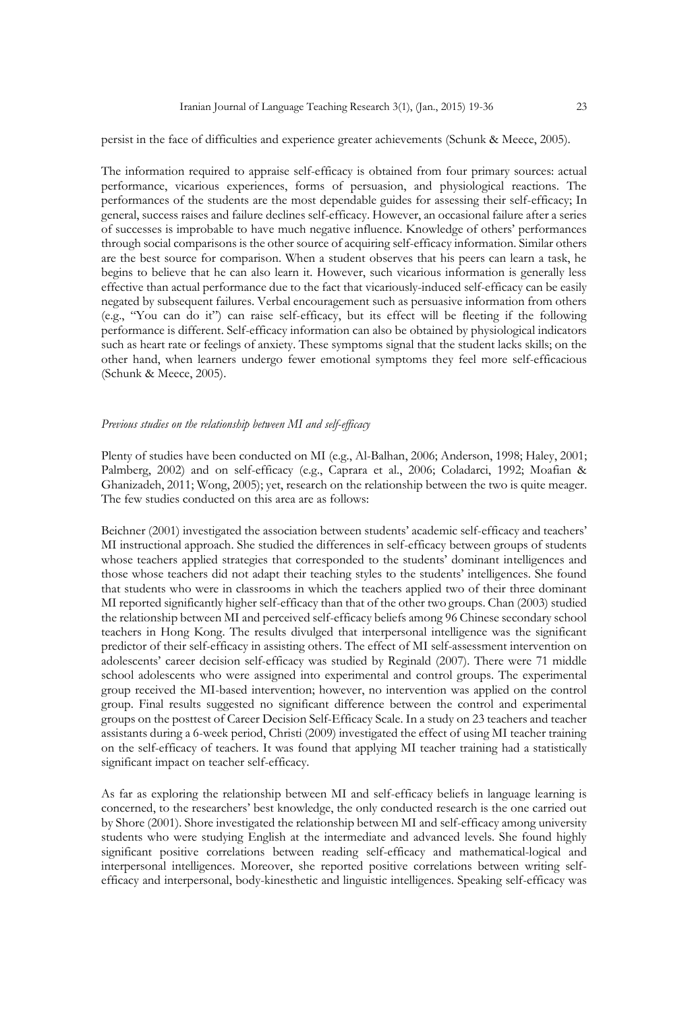persist in the face of difficulties and experience greater achievements (Schunk & Meece, 2005).

The information required to appraise self-efficacy is obtained from four primary sources: actual performance, vicarious experiences, forms of persuasion, and physiological reactions. The performances of the students are the most dependable guides for assessing their self-efficacy; In general, success raises and failure declines self-efficacy. However, an occasional failure after a series of successes is improbable to have much negative influence. Knowledge of others' performances through social comparisons is the other source of acquiring self-efficacy information. Similar others are the best source for comparison. When a student observes that his peers can learn a task, he begins to believe that he can also learn it. However, such vicarious information is generally less effective than actual performance due to the fact that vicariously-induced self-efficacy can be easily negated by subsequent failures. Verbal encouragement such as persuasive information from others (e.g., "You can do it") can raise self-efficacy, but its effect will be fleeting if the following performance is different. Self-efficacy information can also be obtained by physiological indicators such as heart rate or feelings of anxiety. These symptoms signal that the student lacks skills; on the other hand, when learners undergo fewer emotional symptoms they feel more self-efficacious (Schunk & Meece, 2005).

#### *Previous studies on the relationship between MI and self-efficacy*

Plenty of studies have been conducted on MI (e.g., Al-Balhan, 2006; Anderson, 1998; Haley, 2001; Palmberg, 2002) and on self-efficacy (e.g., Caprara et al., 2006; Coladarci, 1992; Moafian & Ghanizadeh, 2011; Wong, 2005); yet, research on the relationship between the two is quite meager. The few studies conducted on this area are as follows:

Beichner (2001) investigated the association between students' academic self-efficacy and teachers' MI instructional approach. She studied the differences in self-efficacy between groups of students whose teachers applied strategies that corresponded to the students' dominant intelligences and those whose teachers did not adapt their teaching styles to the students' intelligences. She found that students who were in classrooms in which the teachers applied two of their three dominant MI reported significantly higher self-efficacy than that of the other two groups. Chan (2003) studied the relationship between MI and perceived self-efficacy beliefs among 96 Chinese secondary school teachers in Hong Kong. The results divulged that interpersonal intelligence was the significant predictor of their self-efficacy in assisting others. The effect of MI self-assessment intervention on adolescents' career decision self-efficacy was studied by Reginald (2007). There were 71 middle school adolescents who were assigned into experimental and control groups. The experimental group received the MI-based intervention; however, no intervention was applied on the control group. Final results suggested no significant difference between the control and experimental groups on the posttest of Career Decision Self-Efficacy Scale. In a study on 23 teachers and teacher assistants during a 6-week period, Christi (2009) investigated the effect of using MI teacher training on the self-efficacy of teachers. It was found that applying MI teacher training had a statistically significant impact on teacher self-efficacy.

As far as exploring the relationship between MI and self-efficacy beliefs in language learning is concerned, to the researchers' best knowledge, the only conducted research is the one carried out by Shore (2001). Shore investigated the relationship between MI and self-efficacy among university students who were studying English at the intermediate and advanced levels. She found highly significant positive correlations between reading self-efficacy and mathematical-logical and interpersonal intelligences. Moreover, she reported positive correlations between writing selfefficacy and interpersonal, body-kinesthetic and linguistic intelligences. Speaking self-efficacy was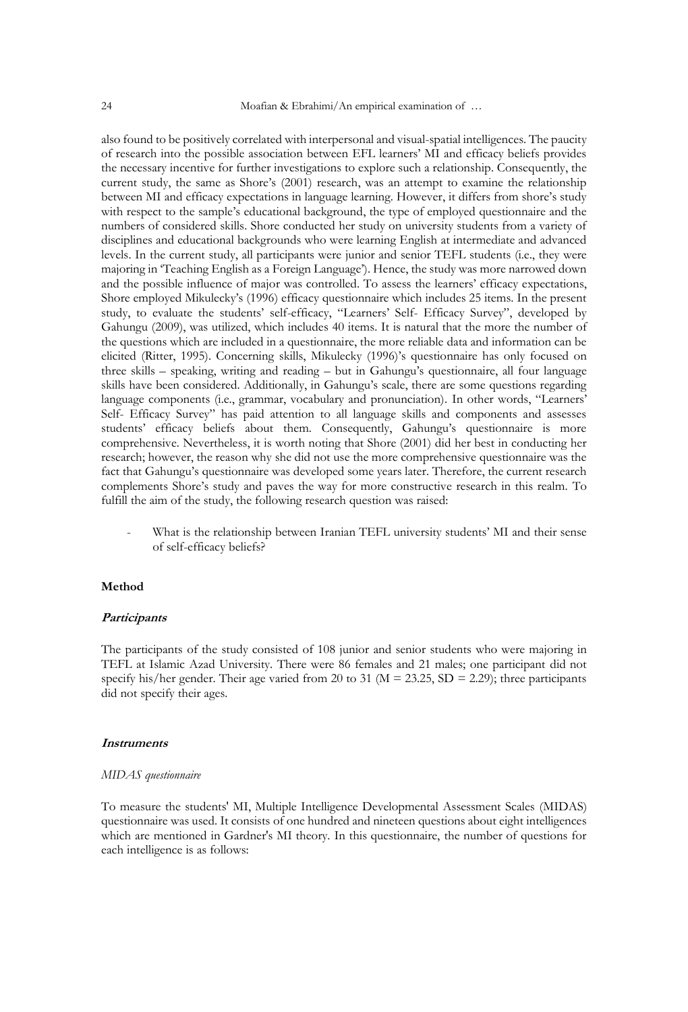also found to be positively correlated with interpersonal and visual-spatial intelligences. The paucity of research into the possible association between EFL learners' MI and efficacy beliefs provides the necessary incentive for further investigations to explore such a relationship. Consequently, the current study, the same as Shore's (2001) research, was an attempt to examine the relationship between MI and efficacy expectations in language learning. However, it differs from shore's study with respect to the sample's educational background, the type of employed questionnaire and the numbers of considered skills. Shore conducted her study on university students from a variety of disciplines and educational backgrounds who were learning English at intermediate and advanced levels. In the current study, all participants were junior and senior TEFL students (i.e., they were majoring in 'Teaching English as a Foreign Language'). Hence, the study was more narrowed down and the possible influence of major was controlled. To assess the learners' efficacy expectations, Shore employed Mikulecky's (1996) efficacy questionnaire which includes 25 items. In the present study, to evaluate the students' self-efficacy, "Learners' Self- Efficacy Survey", developed by Gahungu (2009), was utilized, which includes 40 items. It is natural that the more the number of the questions which are included in a questionnaire, the more reliable data and information can be elicited (Ritter, 1995). Concerning skills, Mikulecky (1996)'s questionnaire has only focused on three skills – speaking, writing and reading – but in Gahungu's questionnaire, all four language skills have been considered. Additionally, in Gahungu's scale, there are some questions regarding language components (i.e., grammar, vocabulary and pronunciation). In other words, "Learners' Self- Efficacy Survey" has paid attention to all language skills and components and assesses students' efficacy beliefs about them. Consequently, Gahungu's questionnaire is more comprehensive. Nevertheless, it is worth noting that Shore (2001) did her best in conducting her research; however, the reason why she did not use the more comprehensive questionnaire was the fact that Gahungu's questionnaire was developed some years later. Therefore, the current research complements Shore's study and paves the way for more constructive research in this realm. To fulfill the aim of the study, the following research question was raised:

What is the relationship between Iranian TEFL university students' MI and their sense of self-efficacy beliefs?

### **Method**

# **Participants**

The participants of the study consisted of 108 junior and senior students who were majoring in TEFL at Islamic Azad University. There were 86 females and 21 males; one participant did not specify his/her gender. Their age varied from 20 to 31 ( $M = 23.25$ ,  $SD = 2.29$ ); three participants did not specify their ages.

#### **Instruments**

#### *MIDAS questionnaire*

To measure the students' MI, Multiple Intelligence Developmental Assessment Scales (MIDAS) questionnaire was used. It consists of one hundred and nineteen questions about eight intelligences which are mentioned in Gardner's MI theory. In this questionnaire, the number of questions for each intelligence is as follows: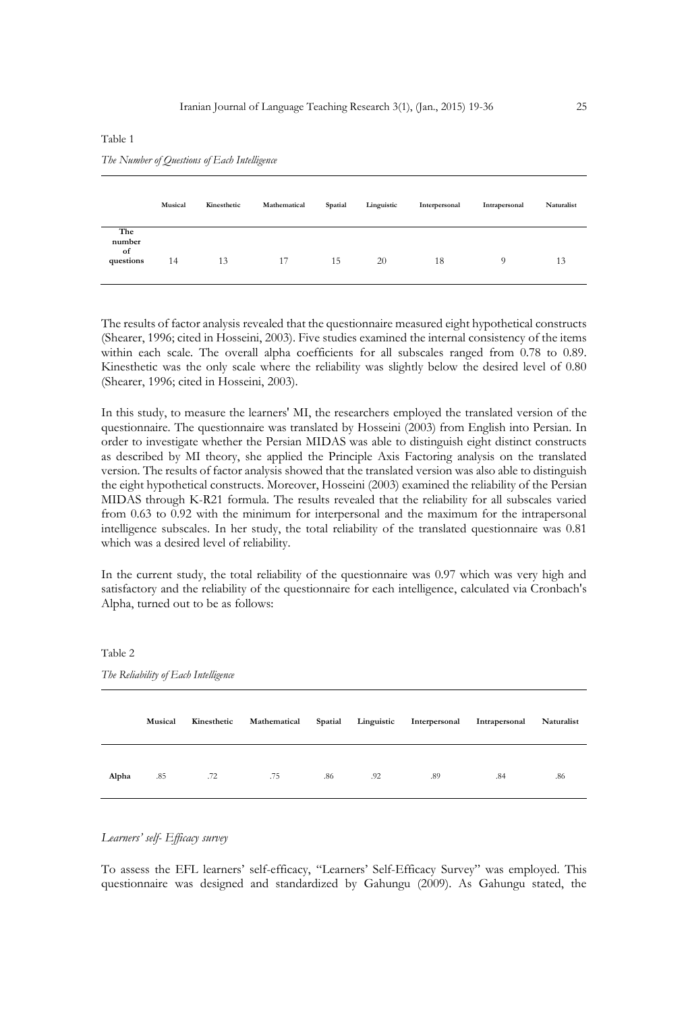#### Table 1

*The Number of Questions of Each Intelligence*

|                                  | Musical | Kinesthetic | Mathematical | Spatial | Linguistic | Interpersonal | Intrapersonal | Naturalist |
|----------------------------------|---------|-------------|--------------|---------|------------|---------------|---------------|------------|
| The<br>number<br>of<br>questions | 14      | 13          | 17           | 15      | 20         | 18            | $\Omega$      | 13         |

The results of factor analysis revealed that the questionnaire measured eight hypothetical constructs (Shearer, 1996; cited in Hosseini, 2003). Five studies examined the internal consistency of the items within each scale. The overall alpha coefficients for all subscales ranged from 0.78 to 0.89. Kinesthetic was the only scale where the reliability was slightly below the desired level of 0.80 (Shearer, 1996; cited in Hosseini, 2003).

In this study, to measure the learners' MI, the researchers employed the translated version of the questionnaire. The questionnaire was translated by Hosseini (2003) from English into Persian. In order to investigate whether the Persian MIDAS was able to distinguish eight distinct constructs as described by MI theory, she applied the Principle Axis Factoring analysis on the translated version. The results of factor analysis showed that the translated version was also able to distinguish the eight hypothetical constructs. Moreover, Hosseini (2003) examined the reliability of the Persian MIDAS through K-R21 formula. The results revealed that the reliability for all subscales varied from 0.63 to 0.92 with the minimum for interpersonal and the maximum for the intrapersonal intelligence subscales. In her study, the total reliability of the translated questionnaire was 0.81 which was a desired level of reliability.

In the current study, the total reliability of the questionnaire was 0.97 which was very high and satisfactory and the reliability of the questionnaire for each intelligence, calculated via Cronbach's Alpha, turned out to be as follows:

| The iscumming of Laws intengence |         |             |              |         |            |               |               |            |
|----------------------------------|---------|-------------|--------------|---------|------------|---------------|---------------|------------|
|                                  | Musical | Kinesthetic | Mathematical | Spatial | Linguistic | Interpersonal | Intrapersonal | Naturalist |
| Alpha                            | .85     | .72         | .75          | .86     | .92        | .89           | .84           | .86        |

*The Reliability of Each Intelligence*

Table 2

*Learners' self- Efficacy survey*

To assess the EFL learners' self-efficacy, "Learners' Self-Efficacy Survey" was employed. This questionnaire was designed and standardized by Gahungu (2009). As Gahungu stated, the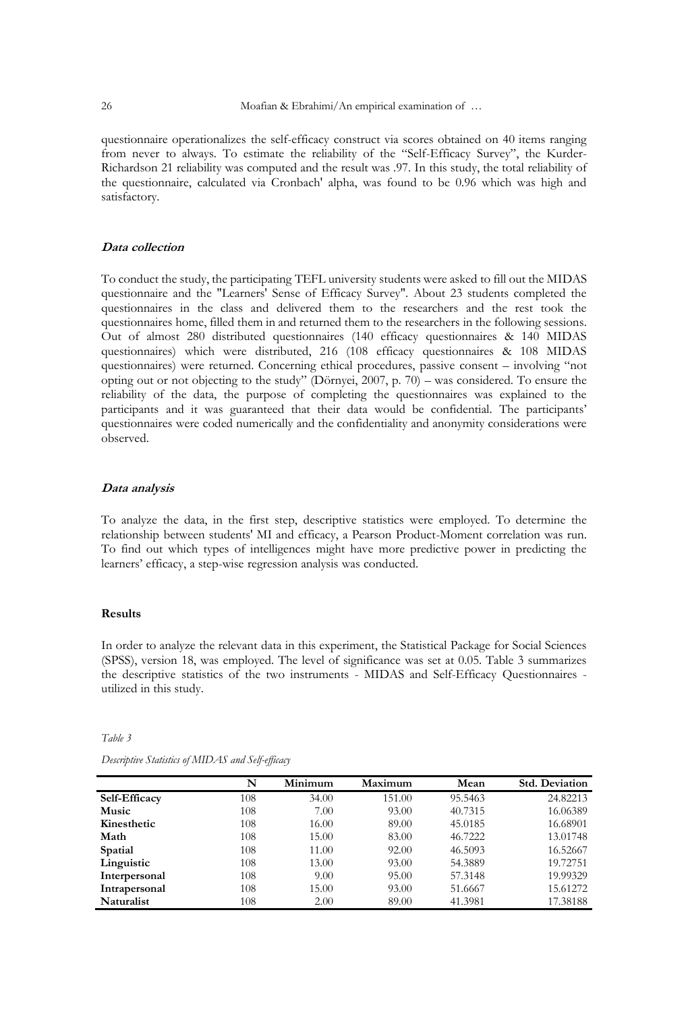questionnaire operationalizes the self-efficacy construct via scores obtained on 40 items ranging from never to always. To estimate the reliability of the "Self-Efficacy Survey", the Kurder-Richardson 21 reliability was computed and the result was .97. In this study, the total reliability of the questionnaire, calculated via Cronbach' alpha, was found to be 0.96 which was high and satisfactory.

# **Data collection**

To conduct the study, the participating TEFL university students were asked to fill out the MIDAS questionnaire and the "Learners' Sense of Efficacy Survey". About 23 students completed the questionnaires in the class and delivered them to the researchers and the rest took the questionnaires home, filled them in and returned them to the researchers in the following sessions. Out of almost 280 distributed questionnaires (140 efficacy questionnaires & 140 MIDAS questionnaires) which were distributed, 216 (108 efficacy questionnaires & 108 MIDAS questionnaires) were returned. Concerning ethical procedures, passive consent – involving "not opting out or not objecting to the study" (Dörnyei, 2007, p. 70) – was considered. To ensure the reliability of the data, the purpose of completing the questionnaires was explained to the participants and it was guaranteed that their data would be confidential. The participants' questionnaires were coded numerically and the confidentiality and anonymity considerations were observed.

#### **Data analysis**

To analyze the data, in the first step, descriptive statistics were employed. To determine the relationship between students' MI and efficacy, a Pearson Product-Moment correlation was run. To find out which types of intelligences might have more predictive power in predicting the learners' efficacy, a step-wise regression analysis was conducted.

## **Results**

In order to analyze the relevant data in this experiment, the Statistical Package for Social Sciences (SPSS), version 18, was employed. The level of significance was set at 0.05. Table 3 summarizes the descriptive statistics of the two instruments - MIDAS and Self-Efficacy Questionnaires utilized in this study.

*Table 3*

|                    | N   | Minimum | Maximum | Mean    | <b>Std. Deviation</b> |
|--------------------|-----|---------|---------|---------|-----------------------|
| Self-Efficacy      | 108 | 34.00   | 151.00  | 95.5463 | 24.82213              |
| Music              | 108 | 7.00    | 93.00   | 40.7315 | 16.06389              |
| <b>Kinesthetic</b> | 108 | 16.00   | 89.00   | 45.0185 | 16.68901              |
| Math               | 108 | 15.00   | 83.00   | 46.7222 | 13.01748              |
| Spatial            | 108 | 11.00   | 92.00   | 46.5093 | 16.52667              |
| Linguistic         | 108 | 13.00   | 93.00   | 54.3889 | 19.72751              |
| Interpersonal      | 108 | 9.00    | 95.00   | 57.3148 | 19.99329              |
| Intrapersonal      | 108 | 15.00   | 93.00   | 51.6667 | 15.61272              |
| Naturalist         | 108 | 2.00    | 89.00   | 41.3981 | 17.38188              |

*Descriptive Statistics of MIDAS and Self-efficacy*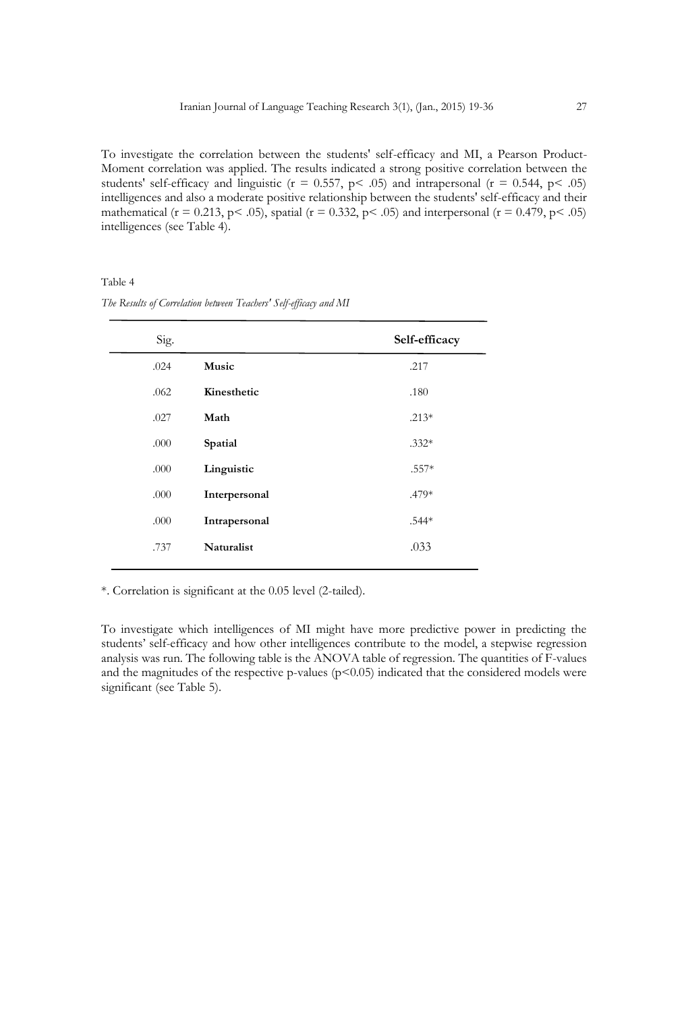To investigate the correlation between the students' self-efficacy and MI, a Pearson Product-Moment correlation was applied. The results indicated a strong positive correlation between the students' self-efficacy and linguistic ( $r = 0.557$ ,  $p < .05$ ) and intrapersonal ( $r = 0.544$ ,  $p < .05$ ) intelligences and also a moderate positive relationship between the students' self-efficacy and their mathematical ( $r = 0.213$ ,  $p < .05$ ), spatial ( $r = 0.332$ ,  $p < .05$ ) and interpersonal ( $r = 0.479$ ,  $p < .05$ ) intelligences (see Table 4).

Table 4

| Sig. |               | Self-efficacy |
|------|---------------|---------------|
| .024 | Music         | .217          |
| .062 | Kinesthetic   | .180          |
| .027 | Math          | $.213*$       |
| .000 | Spatial       | $.332*$       |
| .000 | Linguistic    | $.557*$       |
| .000 | Interpersonal | .479*         |
| .000 | Intrapersonal | .544*         |
| .737 | Naturalist    | .033          |

*The Results of Correlation between Teachers' Self-efficacy and MI* 

\*. Correlation is significant at the 0.05 level (2-tailed).

To investigate which intelligences of MI might have more predictive power in predicting the students' self-efficacy and how other intelligences contribute to the model, a stepwise regression analysis was run. The following table is the ANOVA table of regression. The quantities of F-values and the magnitudes of the respective p-values  $(p<0.05)$  indicated that the considered models were significant (see Table 5).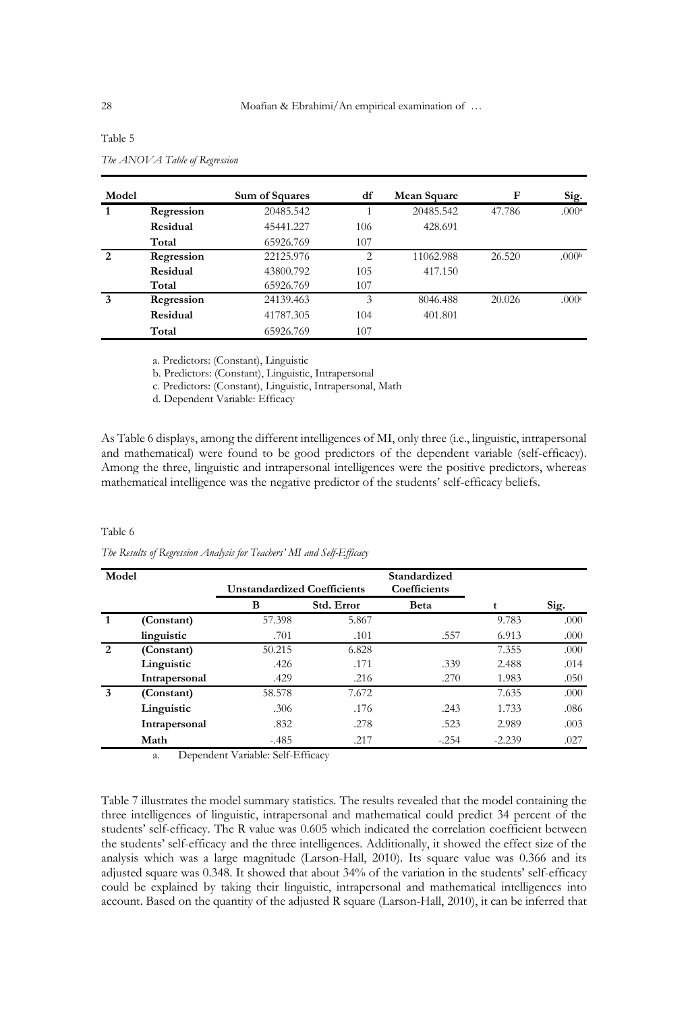| Model        |            | Sum of Squares | df  | Mean Square | F      | Sig.              |
|--------------|------------|----------------|-----|-------------|--------|-------------------|
| $\mathbf{1}$ | Regression | 20485.542      |     | 20485.542   | 47.786 | .000a             |
|              | Residual   | 45441.227      | 106 | 428.691     |        |                   |
|              | Total      | 65926.769      | 107 |             |        |                   |
| 2            | Regression | 22125.976      | 2   | 11062.988   | 26.520 | .000 <sub>b</sub> |
|              | Residual   | 43800.792      | 105 | 417.150     |        |                   |
|              | Total      | 65926.769      | 107 |             |        |                   |
| 3            | Regression | 24139.463      | 3   | 8046.488    | 20.026 | .000c             |
|              | Residual   | 41787.305      | 104 | 401.801     |        |                   |
|              | Total      | 65926.769      | 107 |             |        |                   |

# Table 5

| The ANOVA Table of Regression |  |
|-------------------------------|--|
|                               |  |

a. Predictors: (Constant), Linguistic

b. Predictors: (Constant), Linguistic, Intrapersonal

c. Predictors: (Constant), Linguistic, Intrapersonal, Math

d. Dependent Variable: Efficacy

As Table 6 displays, among the different intelligences of MI, only three (i.e., linguistic, intrapersonal and mathematical) were found to be good predictors of the dependent variable (self-efficacy). Among the three, linguistic and intrapersonal intelligences were the positive predictors, whereas mathematical intelligence was the negative predictor of the students' self-efficacy beliefs.

#### Table 6

*The Results of Regression Analysis for Teachers' MI and Self-Efficacy*

| Model          |               |                                    |            | Standardized |          |      |
|----------------|---------------|------------------------------------|------------|--------------|----------|------|
|                |               | <b>Unstandardized Coefficients</b> |            | Coefficients |          |      |
|                |               | B                                  | Std. Error | Beta         |          | Sig. |
| $\mathbf{1}$   | (Constant)    | 57.398                             | 5.867      |              | 9.783    | .000 |
|                | linguistic    | .701                               | .101       | .557         | 6.913    | .000 |
| 2              | (Constant)    | 50.215                             | 6.828      |              | 7.355    | .000 |
|                | Linguistic    | .426                               | .171       | .339         | 2.488    | .014 |
|                | Intrapersonal | .429                               | .216       | .270         | 1.983    | .050 |
| $\overline{3}$ | (Constant)    | 58.578                             | 7.672      |              | 7.635    | .000 |
|                | Linguistic    | .306                               | .176       | .243         | 1.733    | .086 |
|                | Intrapersonal | .832                               | .278       | .523         | 2.989    | .003 |
|                | Math          | $-485$                             | .217       | $-.254$      | $-2.239$ | .027 |

a. Dependent Variable: Self-Efficacy

Table 7 illustrates the model summary statistics. The results revealed that the model containing the three intelligences of linguistic, intrapersonal and mathematical could predict 34 percent of the students' self-efficacy. The R value was 0.605 which indicated the correlation coefficient between the students' self-efficacy and the three intelligences. Additionally, it showed the effect size of the analysis which was a large magnitude (Larson-Hall, 2010). Its square value was 0.366 and its adjusted square was 0.348. It showed that about 34% of the variation in the students' self-efficacy could be explained by taking their linguistic, intrapersonal and mathematical intelligences into account. Based on the quantity of the adjusted R square (Larson-Hall, 2010), it can be inferred that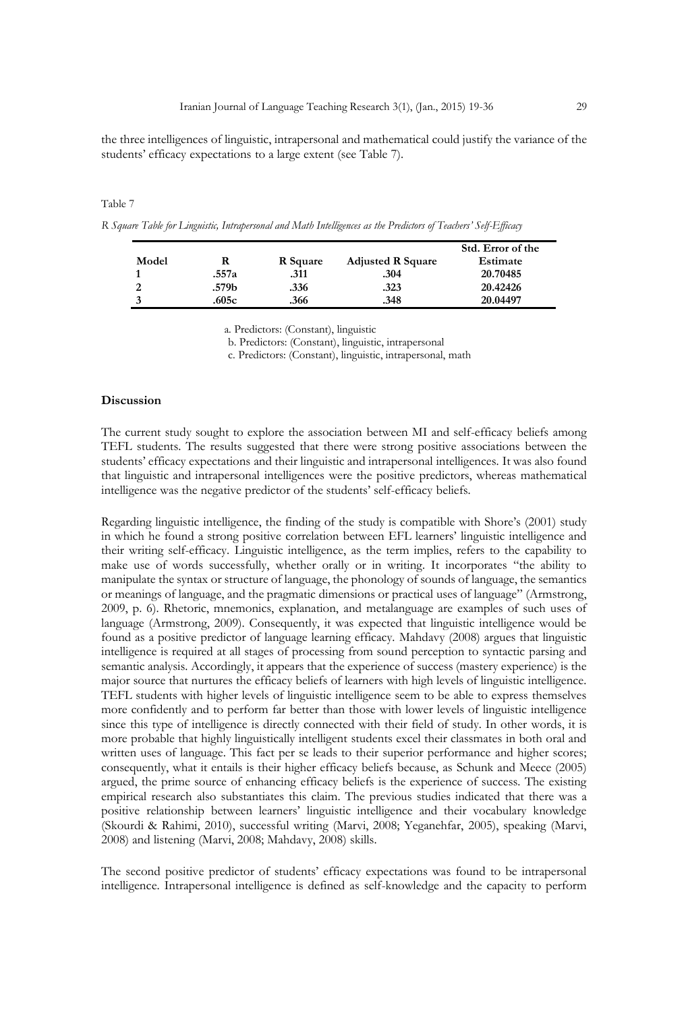the three intelligences of linguistic, intrapersonal and mathematical could justify the variance of the students' efficacy expectations to a large extent (see Table 7).

#### Table 7

*R Square Table for Linguistic, Intrapersonal and Math Intelligences as the Predictors of Teachers' Self-Efficacy*

|       |       |          |                          | Std. Error of the |
|-------|-------|----------|--------------------------|-------------------|
| Model |       | R Square | <b>Adjusted R Square</b> | Estimate          |
|       | .557a | .311     | .304                     | 20.70485          |
|       | .579b | .336     | .323                     | 20.42426          |
|       | .605c | .366     | .348                     | 20.04497          |

a. Predictors: (Constant), linguistic

b. Predictors: (Constant), linguistic, intrapersonal

c. Predictors: (Constant), linguistic, intrapersonal, math

#### **Discussion**

The current study sought to explore the association between MI and self-efficacy beliefs among TEFL students. The results suggested that there were strong positive associations between the students' efficacy expectations and their linguistic and intrapersonal intelligences. It was also found that linguistic and intrapersonal intelligences were the positive predictors, whereas mathematical intelligence was the negative predictor of the students' self-efficacy beliefs.

Regarding linguistic intelligence, the finding of the study is compatible with Shore's (2001) study in which he found a strong positive correlation between EFL learners' linguistic intelligence and their writing self-efficacy. Linguistic intelligence, as the term implies, refers to the capability to make use of words successfully, whether orally or in writing. It incorporates "the ability to manipulate the syntax or structure of language, the phonology of sounds of language, the semantics or meanings of language, and the pragmatic dimensions or practical uses of language" (Armstrong, 2009, p. 6). Rhetoric, mnemonics, explanation, and metalanguage are examples of such uses of language (Armstrong, 2009). Consequently, it was expected that linguistic intelligence would be found as a positive predictor of language learning efficacy. Mahdavy (2008) argues that linguistic intelligence is required at all stages of processing from sound perception to syntactic parsing and semantic analysis. Accordingly, it appears that the experience of success (mastery experience) is the major source that nurtures the efficacy beliefs of learners with high levels of linguistic intelligence. TEFL students with higher levels of linguistic intelligence seem to be able to express themselves more confidently and to perform far better than those with lower levels of linguistic intelligence since this type of intelligence is directly connected with their field of study. In other words, it is more probable that highly linguistically intelligent students excel their classmates in both oral and written uses of language. This fact per se leads to their superior performance and higher scores; consequently, what it entails is their higher efficacy beliefs because, as Schunk and Meece (2005) argued, the prime source of enhancing efficacy beliefs is the experience of success. The existing empirical research also substantiates this claim. The previous studies indicated that there was a positive relationship between learners' linguistic intelligence and their vocabulary knowledge (Skourdi & Rahimi, 2010), successful writing (Marvi, 2008; Yeganehfar, 2005), speaking (Marvi, 2008) and listening (Marvi, 2008; Mahdavy, 2008) skills.

The second positive predictor of students' efficacy expectations was found to be intrapersonal intelligence. Intrapersonal intelligence is defined as self-knowledge and the capacity to perform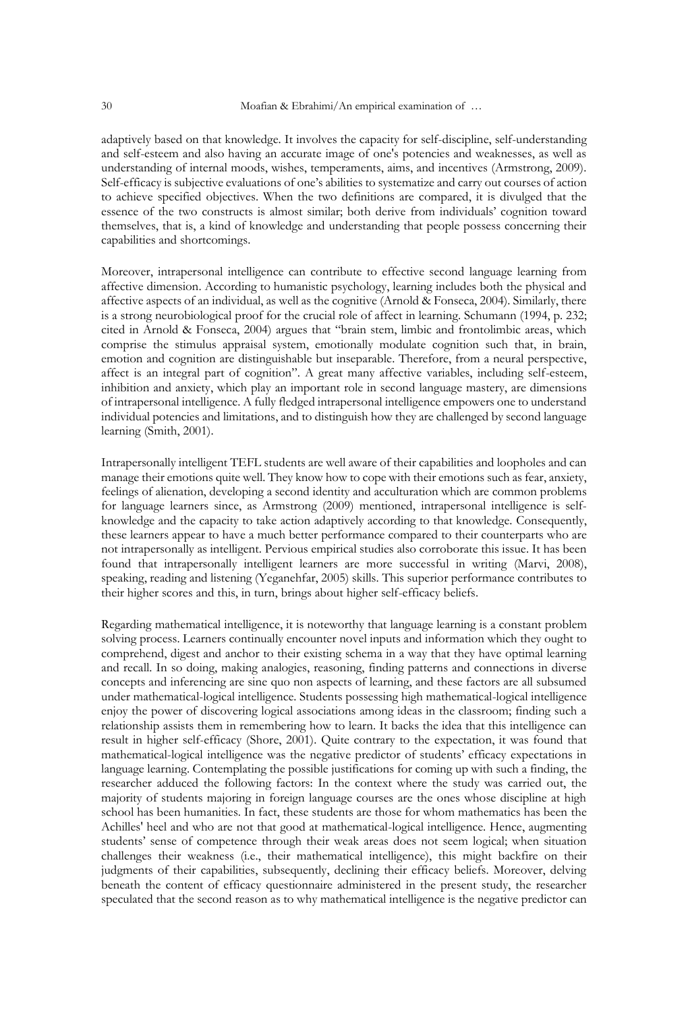adaptively based on that knowledge. It involves the capacity for self-discipline, self-understanding and self-esteem and also having an accurate image of one's potencies and weaknesses, as well as understanding of internal moods, wishes, temperaments, aims, and incentives (Armstrong, 2009). Self-efficacy is subjective evaluations of one's abilities to systematize and carry out courses of action to achieve specified objectives. When the two definitions are compared, it is divulged that the essence of the two constructs is almost similar; both derive from individuals' cognition toward themselves, that is, a kind of knowledge and understanding that people possess concerning their capabilities and shortcomings.

Moreover, intrapersonal intelligence can contribute to effective second language learning from affective dimension. According to humanistic psychology, learning includes both the physical and affective aspects of an individual, as well as the cognitive (Arnold & Fonseca, 2004). Similarly, there is a strong neurobiological proof for the crucial role of affect in learning. Schumann (1994, p. 232; cited in Arnold & Fonseca, 2004) argues that "brain stem, limbic and frontolimbic areas, which comprise the stimulus appraisal system, emotionally modulate cognition such that, in brain, emotion and cognition are distinguishable but inseparable. Therefore, from a neural perspective, affect is an integral part of cognition". A great many affective variables, including self-esteem, inhibition and anxiety, which play an important role in second language mastery, are dimensions of intrapersonal intelligence. A fully fledged intrapersonal intelligence empowers one to understand individual potencies and limitations, and to distinguish how they are challenged by second language learning (Smith, 2001).

Intrapersonally intelligent TEFL students are well aware of their capabilities and loopholes and can manage their emotions quite well. They know how to cope with their emotions such as fear, anxiety, feelings of alienation, developing a second identity and acculturation which are common problems for language learners since, as Armstrong (2009) mentioned, intrapersonal intelligence is selfknowledge and the capacity to take action adaptively according to that knowledge. Consequently, these learners appear to have a much better performance compared to their counterparts who are not intrapersonally as intelligent. Pervious empirical studies also corroborate this issue. It has been found that intrapersonally intelligent learners are more successful in writing (Marvi, 2008), speaking, reading and listening (Yeganehfar, 2005) skills. This superior performance contributes to their higher scores and this, in turn, brings about higher self-efficacy beliefs.

Regarding mathematical intelligence, it is noteworthy that language learning is a constant problem solving process. Learners continually encounter novel inputs and information which they ought to comprehend, digest and anchor to their existing schema in a way that they have optimal learning and recall. In so doing, making analogies, reasoning, finding patterns and connections in diverse concepts and inferencing are sine quo non aspects of learning, and these factors are all subsumed under mathematical-logical intelligence. Students possessing high mathematical-logical intelligence enjoy the power of discovering logical associations among ideas in the classroom; finding such a relationship assists them in remembering how to learn. It backs the idea that this intelligence can result in higher self-efficacy (Shore, 2001). Quite contrary to the expectation, it was found that mathematical-logical intelligence was the negative predictor of students' efficacy expectations in language learning. Contemplating the possible justifications for coming up with such a finding, the researcher adduced the following factors: In the context where the study was carried out, the majority of students majoring in foreign language courses are the ones whose discipline at high school has been humanities. In fact, these students are those for whom mathematics has been the Achilles' heel and who are not that good at mathematical-logical intelligence. Hence, augmenting students' sense of competence through their weak areas does not seem logical; when situation challenges their weakness (i.e., their mathematical intelligence), this might backfire on their judgments of their capabilities, subsequently, declining their efficacy beliefs. Moreover, delving beneath the content of efficacy questionnaire administered in the present study, the researcher speculated that the second reason as to why mathematical intelligence is the negative predictor can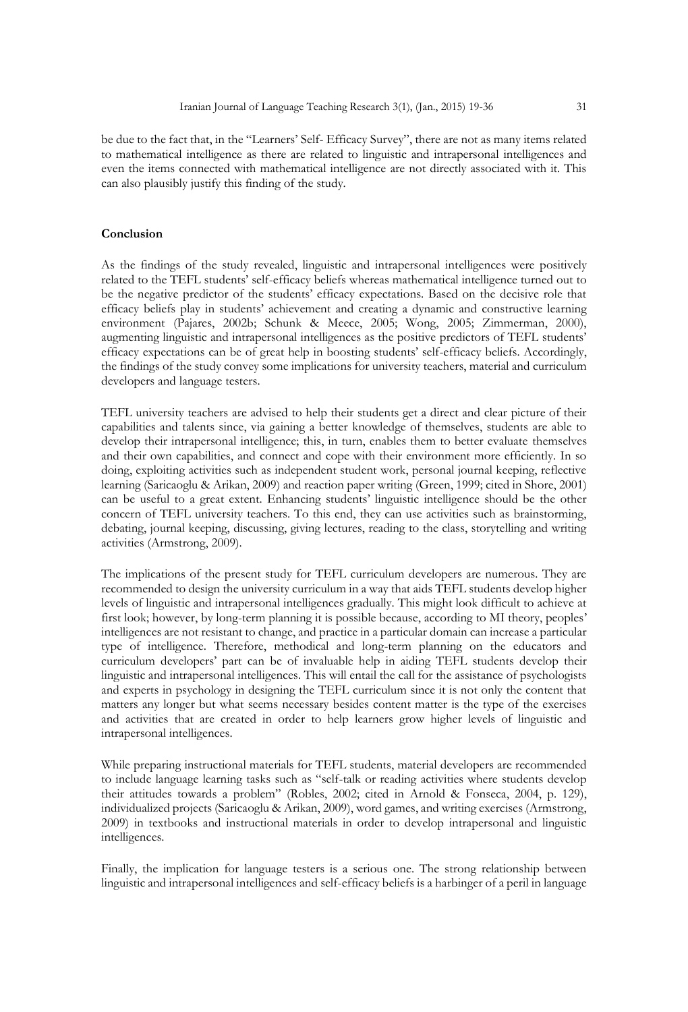be due to the fact that, in the "Learners' Self- Efficacy Survey", there are not as many items related to mathematical intelligence as there are related to linguistic and intrapersonal intelligences and even the items connected with mathematical intelligence are not directly associated with it. This can also plausibly justify this finding of the study.

# **Conclusion**

As the findings of the study revealed, linguistic and intrapersonal intelligences were positively related to the TEFL students' self-efficacy beliefs whereas mathematical intelligence turned out to be the negative predictor of the students' efficacy expectations. Based on the decisive role that efficacy beliefs play in students' achievement and creating a dynamic and constructive learning environment (Pajares, 2002b; Schunk & Meece, 2005; Wong, 2005; Zimmerman, 2000), augmenting linguistic and intrapersonal intelligences as the positive predictors of TEFL students' efficacy expectations can be of great help in boosting students' self-efficacy beliefs. Accordingly, the findings of the study convey some implications for university teachers, material and curriculum developers and language testers.

TEFL university teachers are advised to help their students get a direct and clear picture of their capabilities and talents since, via gaining a better knowledge of themselves, students are able to develop their intrapersonal intelligence; this, in turn, enables them to better evaluate themselves and their own capabilities, and connect and cope with their environment more efficiently. In so doing, exploiting activities such as independent student work, personal journal keeping, reflective learning (Saricaoglu & Arikan, 2009) and reaction paper writing (Green, 1999; cited in Shore, 2001) can be useful to a great extent. Enhancing students' linguistic intelligence should be the other concern of TEFL university teachers. To this end, they can use activities such as brainstorming, debating, journal keeping, discussing, giving lectures, reading to the class, storytelling and writing activities (Armstrong, 2009).

The implications of the present study for TEFL curriculum developers are numerous. They are recommended to design the university curriculum in a way that aids TEFL students develop higher levels of linguistic and intrapersonal intelligences gradually. This might look difficult to achieve at first look; however, by long-term planning it is possible because, according to MI theory, peoples' intelligences are not resistant to change, and practice in a particular domain can increase a particular type of intelligence. Therefore, methodical and long-term planning on the educators and curriculum developers' part can be of invaluable help in aiding TEFL students develop their linguistic and intrapersonal intelligences. This will entail the call for the assistance of psychologists and experts in psychology in designing the TEFL curriculum since it is not only the content that matters any longer but what seems necessary besides content matter is the type of the exercises and activities that are created in order to help learners grow higher levels of linguistic and intrapersonal intelligences.

While preparing instructional materials for TEFL students, material developers are recommended to include language learning tasks such as "self-talk or reading activities where students develop their attitudes towards a problem" (Robles, 2002; cited in Arnold & Fonseca, 2004, p. 129), individualized projects (Saricaoglu & Arikan, 2009), word games, and writing exercises (Armstrong, 2009) in textbooks and instructional materials in order to develop intrapersonal and linguistic intelligences.

Finally, the implication for language testers is a serious one. The strong relationship between linguistic and intrapersonal intelligences and self-efficacy beliefs is a harbinger of a peril in language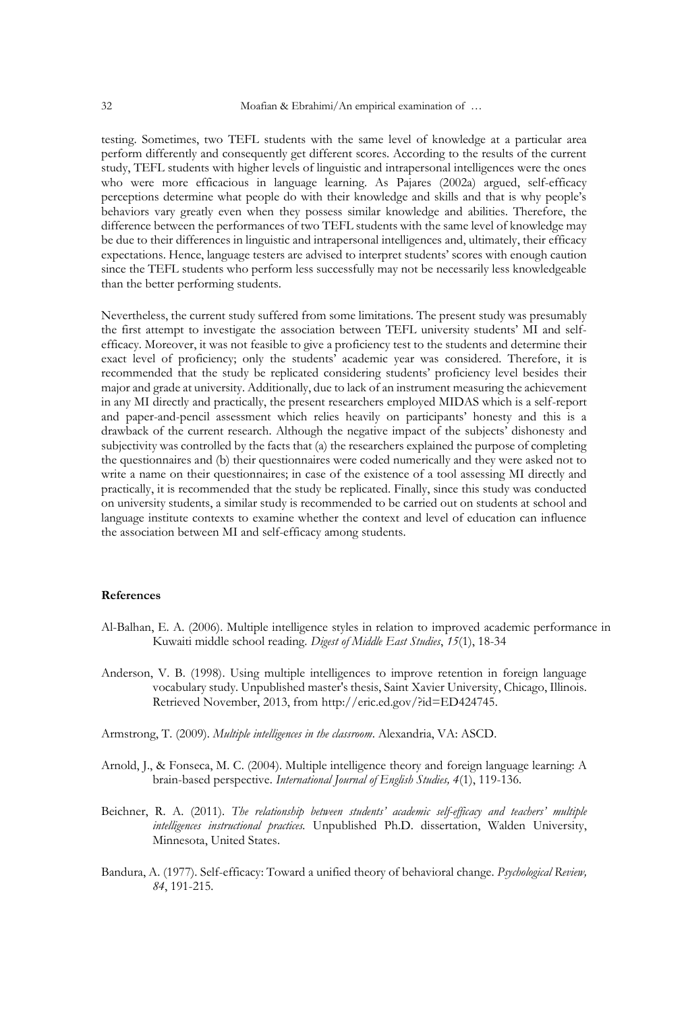testing. Sometimes, two TEFL students with the same level of knowledge at a particular area perform differently and consequently get different scores. According to the results of the current study, TEFL students with higher levels of linguistic and intrapersonal intelligences were the ones who were more efficacious in language learning. As Pajares (2002a) argued, self-efficacy perceptions determine what people do with their knowledge and skills and that is why people's behaviors vary greatly even when they possess similar knowledge and abilities. Therefore, the difference between the performances of two TEFL students with the same level of knowledge may be due to their differences in linguistic and intrapersonal intelligences and, ultimately, their efficacy expectations. Hence, language testers are advised to interpret students' scores with enough caution since the TEFL students who perform less successfully may not be necessarily less knowledgeable than the better performing students.

Nevertheless, the current study suffered from some limitations. The present study was presumably the first attempt to investigate the association between TEFL university students' MI and selfefficacy. Moreover, it was not feasible to give a proficiency test to the students and determine their exact level of proficiency; only the students' academic year was considered. Therefore, it is recommended that the study be replicated considering students' proficiency level besides their major and grade at university. Additionally, due to lack of an instrument measuring the achievement in any MI directly and practically, the present researchers employed MIDAS which is a self-report and paper-and-pencil assessment which relies heavily on participants' honesty and this is a drawback of the current research. Although the negative impact of the subjects' dishonesty and subjectivity was controlled by the facts that (a) the researchers explained the purpose of completing the questionnaires and (b) their questionnaires were coded numerically and they were asked not to write a name on their questionnaires; in case of the existence of a tool assessing MI directly and practically, it is recommended that the study be replicated. Finally, since this study was conducted on university students, a similar study is recommended to be carried out on students at school and language institute contexts to examine whether the context and level of education can influence the association between MI and self-efficacy among students.

#### **References**

- Al-Balhan, E. A. (2006). Multiple intelligence styles in relation to improved academic performance in Kuwaiti middle school reading. *Digest of Middle East Studies*, *15*(1), 18-34
- Anderson, V. B. (1998). Using multiple intelligences to improve retention in foreign language vocabulary study. Unpublished master's thesis, Saint Xavier University, Chicago, Illinois. Retrieved November, 2013, from http://eric.ed.gov/?id=ED424745.
- Armstrong, T. (2009). *Multiple intelligences in the classroom*. Alexandria, VA: ASCD.
- Arnold, J., & Fonseca, M. C. (2004). Multiple intelligence theory and foreign language learning: A brain-based perspective. *International Journal of English Studies, 4*(1), 119-136.
- Beichner, R. A. (2011). *The relationship between students' academic self-efficacy and teachers' multiple intelligences instructional practices.* Unpublished Ph.D. dissertation, Walden University, Minnesota, United States.
- Bandura, A. (1977). Self-efficacy: Toward a unified theory of behavioral change. *Psychological Review, 84*, 191-215.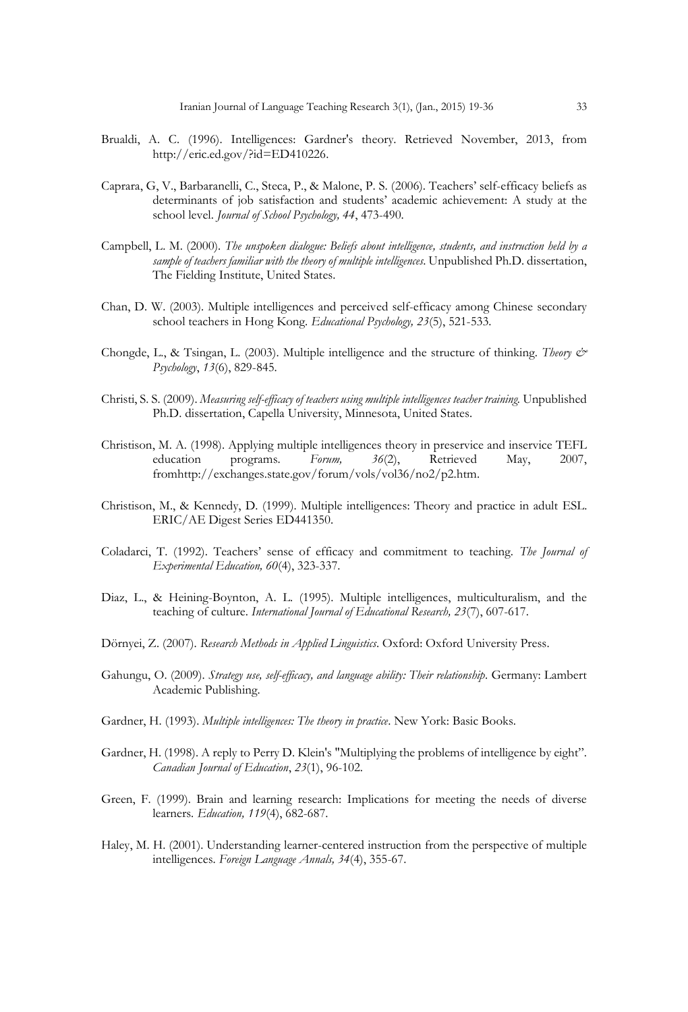- Brualdi, A. C. (1996). Intelligences: Gardner's theory. Retrieved November, 2013, from http://eric.ed.gov/?id=ED410226.
- Caprara, G, V., Barbaranelli, C., Steca, P., & Malone, P. S. (2006). Teachers' self-efficacy beliefs as determinants of job satisfaction and students' academic achievement: A study at the school level. *Journal of School Psychology, 44*, 473-490.
- Campbell, L. M. (2000). *The unspoken dialogue: Beliefs about intelligence, students, and instruction held by a sample of teachers familiar with the theory of multiple intelligences*. Unpublished Ph.D. dissertation, The Fielding Institute, United States.
- Chan, D. W. (2003). Multiple intelligences and perceived self-efficacy among Chinese secondary school teachers in Hong Kong. *Educational Psychology, 23*(5), 521-533.
- Chongde, L., & Tsingan, L. (2003). Multiple intelligence and the structure of thinking. *Theory & Psychology*, *13*(6), 829-845.
- Christi, S. S. (2009). *Measuring self-efficacy of teachers using multiple intelligences teacher training.* Unpublished Ph.D. dissertation, Capella University, Minnesota, United States.
- Christison, M. A. (1998). Applying multiple intelligences theory in preservice and inservice TEFL education programs. *Forum, 36*(2), Retrieved May, 2007, fromhttp://exchanges.state.gov/forum/vols/vol36/no2/p2.htm.
- Christison, M., & Kennedy, D. (1999). Multiple intelligences: Theory and practice in adult ESL. ERIC/AE Digest Series ED441350.
- Coladarci, T. (1992). Teachers' sense of efficacy and commitment to teaching. *The Journal of Experimental Education, 60*(4), 323-337.
- Diaz, L., & Heining-Boynton, A. L. (1995). Multiple intelligences, multiculturalism, and the teaching of culture. *International Journal of Educational Research, 23*(7), 607-617.
- Dörnyei, Z. (2007). *Research Methods in Applied Linguistics*. Oxford: Oxford University Press.
- Gahungu, O. (2009). *Strategy use, self-efficacy, and language ability: Their relationship*. Germany: Lambert Academic Publishing.
- Gardner, H. (1993). *Multiple intelligences: The theory in practice*. New York: Basic Books.
- Gardner, H. (1998). A reply to Perry D. Klein's "Multiplying the problems of intelligence by eight". *Canadian Journal of Education*, *23*(1), 96-102.
- Green, F. (1999). Brain and learning research: Implications for meeting the needs of diverse learners. *Education, 119*(4), 682-687.
- Haley, M. H. (2001). Understanding learner-centered instruction from the perspective of multiple intelligences. *Foreign Language Annals, 34*(4), 355-67.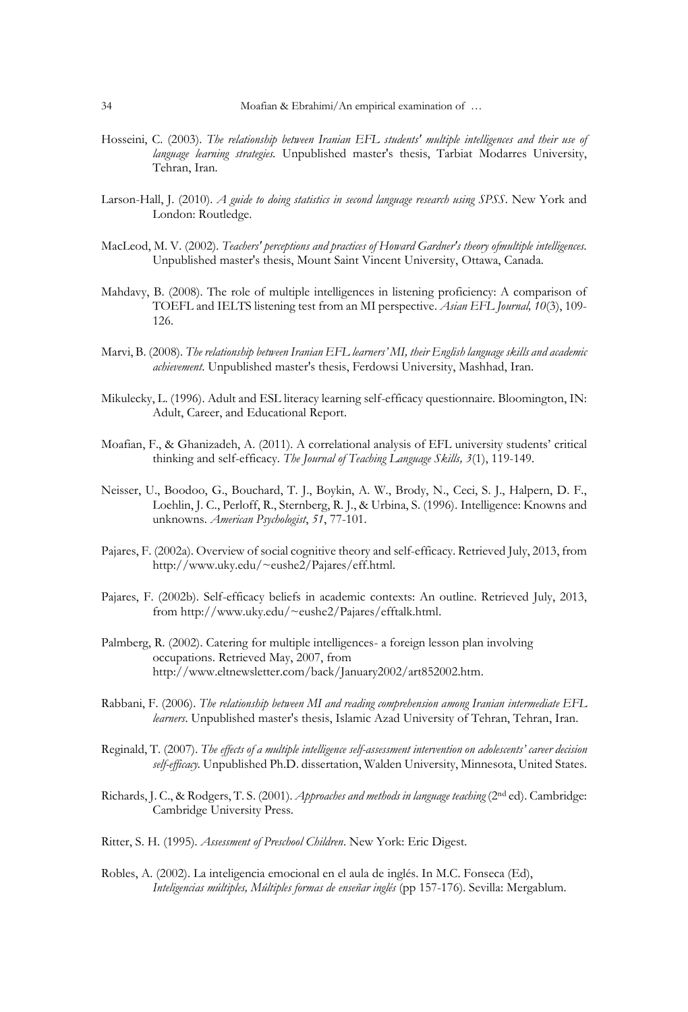- Hosseini, C. (2003). *The relationship between Iranian EFL students' multiple intelligences and their use of language learning strategies.* Unpublished master's thesis, Tarbiat Modarres University, Tehran, Iran.
- Larson-Hall, J. (2010). *A guide to doing statistics in second language research using SPSS*. New York and London: Routledge.
- MacLeod, M. V. (2002). *Teachers' perceptions and practices of Howard Gardner's theory ofmultiple intelligences.* Unpublished master's thesis, Mount Saint Vincent University, Ottawa, Canada.
- Mahdavy, B. (2008). The role of multiple intelligences in listening proficiency: A comparison of TOEFL and IELTS listening test from an MI perspective. *Asian EFL Journal, 10*(3), 109- 126.
- Marvi, B. (2008). *The relationship between Iranian EFL learners' MI, their English language skills and academic achievement*. Unpublished master's thesis, Ferdowsi University, Mashhad, Iran.
- Mikulecky, L. (1996). Adult and ESL literacy learning self-efficacy questionnaire. Bloomington, IN: Adult, Career, and Educational Report.
- Moafian, F., & Ghanizadeh, A. (2011). A correlational analysis of EFL university students' critical thinking and self-efficacy. *The Journal of Teaching Language Skills, 3*(1), 119-149.
- Neisser, U., Boodoo, G., Bouchard, T. J., Boykin, A. W., Brody, N., Ceci, S. J., Halpern, D. F., Loehlin, J. C., Perloff, R., Sternberg, R. J., & Urbina, S. (1996). Intelligence: Knowns and unknowns. *American Psychologist*, *51*, 77-101.
- Pajares, F. (2002a). Overview of social cognitive theory and self-efficacy. Retrieved July, 2013, from http://www.uky.edu/~eushe2/Pajares/eff.html.
- Pajares, F. (2002b). Self-efficacy beliefs in academic contexts: An outline. Retrieved July, 2013, from http://www.uky.edu/~eushe2/Pajares/efftalk.html.
- Palmberg, R. (2002). Catering for multiple intelligences- a foreign lesson plan involving occupations. Retrieved May, 2007, from http://www.eltnewsletter.com/back/January2002/art852002.htm.
- Rabbani, F. (2006). *The relationship between MI and reading comprehension among Iranian intermediate EFL learners*. Unpublished master's thesis, Islamic Azad University of Tehran, Tehran, Iran.
- Reginald, T. (2007). *The effects of a multiple intelligence self-assessment intervention on adolescents' career decision self-efficacy.* Unpublished Ph.D. dissertation, Walden University, Minnesota, United States.
- Richards, J. C., & Rodgers, T. S. (2001). *Approaches and methods in language teaching* (2nd ed). Cambridge: Cambridge University Press.
- Ritter, S. H. (1995). *Assessment of Preschool Children*. New York: Eric Digest.
- Robles, A. (2002). La inteligencia emocional en el aula de inglés. In M.C. Fonseca (Ed), *Inteligencias múltiples, Múltiples formas de enseñar inglés* (pp 157-176). Sevilla: Mergablum.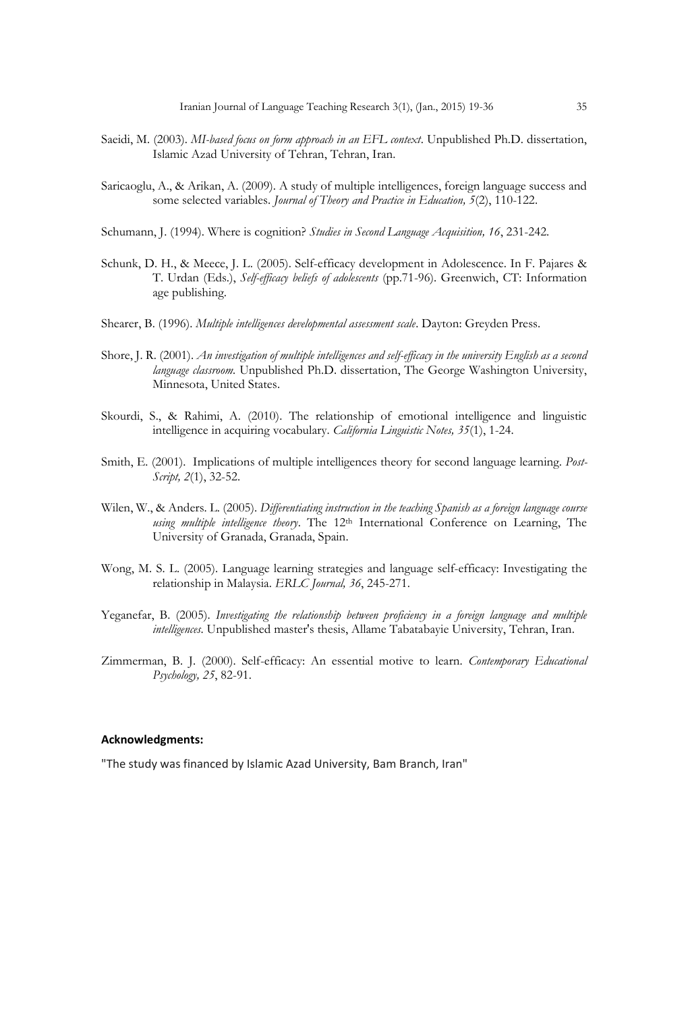- Saeidi, M. (2003). *MI-based focus on form approach in an EFL context*. Unpublished Ph.D. dissertation, Islamic Azad University of Tehran, Tehran, Iran.
- Saricaoglu, A., & Arikan, A. (2009). A study of multiple intelligences, foreign language success and some selected variables. *Journal of Theory and Practice in Education, 5*(2), 110-122.
- Schumann, J. (1994). Where is cognition? *Studies in Second Language Acquisition, 16*, 231-242.
- Schunk, D. H., & Meece, J. L. (2005). Self-efficacy development in Adolescence. In F. Pajares & T. Urdan (Eds.), *Self-efficacy beliefs of adolescents* (pp.71-96). Greenwich, CT: Information age publishing.
- Shearer, B. (1996). *Multiple intelligences developmental assessment scale*. Dayton: Greyden Press.
- Shore, J. R. (2001). *An investigation of multiple intelligences and self-efficacy in the university English as a second language classroom.* Unpublished Ph.D. dissertation, The George Washington University, Minnesota, United States.
- Skourdi, S., & Rahimi, A. (2010). The relationship of emotional intelligence and linguistic intelligence in acquiring vocabulary. *California Linguistic Notes, 35*(1), 1-24.
- Smith, E. (2001). Implications of multiple intelligences theory for second language learning. *Post-Script, 2*(1), 32-52.
- Wilen, W., & Anders. L. (2005). *Differentiating instruction in the teaching Spanish as a foreign language course using multiple intelligence theory*. The 12th International Conference on Learning, The University of Granada, Granada, Spain.
- Wong, M. S. L. (2005). Language learning strategies and language self-efficacy: Investigating the relationship in Malaysia. *ERLC Journal, 36*, 245-271.
- Yeganefar, B. (2005). *Investigating the relationship between proficiency in a foreign language and multiple intelligences*. Unpublished master's thesis, Allame Tabatabayie University, Tehran, Iran.
- Zimmerman, B. J. (2000). Self-efficacy: An essential motive to learn. *Contemporary Educational Psychology, 25*, 82-91.

### **Acknowledgments:**

"The study was financed by Islamic Azad University, Bam Branch, Iran"